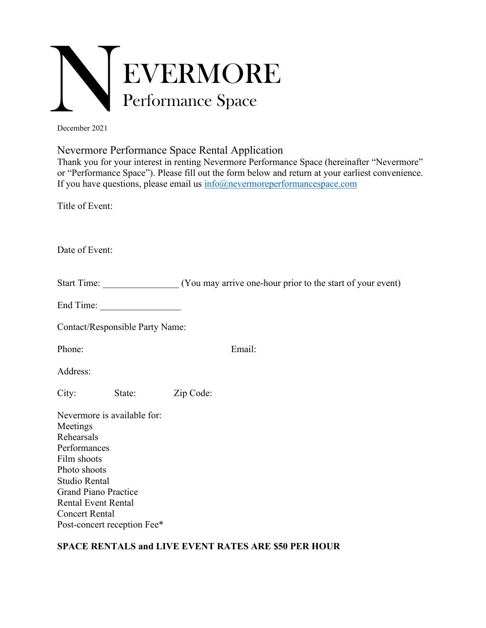

December 2021

Nevermore Performance Space Rental Application

Thank you for your interest in renting Nevermore Performance Space (hereinafter "Nevermore" or "Performance Space"). Please fill out the form below and return at your earliest convenience. If you have questions, please email us  $info@new$  evermore performancespace.com

Title of Event:

Date of Event:

| <b>Start Time:</b> |  |  | (You may arrive one-hour prior to the start of your event) |
|--------------------|--|--|------------------------------------------------------------|
|                    |  |  |                                                            |

End Time:

Contact/Responsible Party Name:

Phone: Email:

Address:

City: State: Zip Code:

| Nevermore is available for: |
|-----------------------------|
| Meetings                    |
| Rehearsals                  |
| Performances                |
| Film shoots                 |
| Photo shoots                |
| Studio Rental               |
| <b>Grand Piano Practice</b> |
| Rental Event Rental         |
| <b>Concert Rental</b>       |
| Post-concert reception Fee* |

## **SPACE RENTALS and LIVE EVENT RATES ARE \$50 PER HOUR**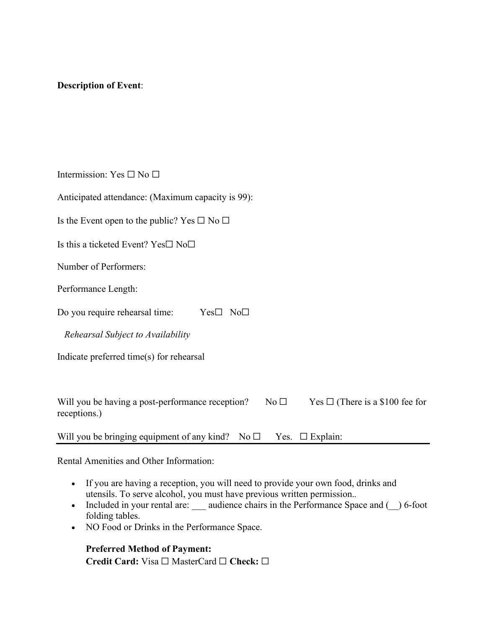## **Description of Event**:

Intermission: Yes  $\square$  No  $\square$ 

Anticipated attendance: (Maximum capacity is 99):

Is the Event open to the public? Yes  $\Box$  No  $\Box$ 

Is this a ticketed Event? Yes☐ No☐

Number of Performers:

Performance Length:

Do you require rehearsal time: Yes□ No□

*Rehearsal Subject to Availability*

Indicate preferred time(s) for rehearsal

Will you be having a post-performance reception? No  $\Box$  Yes  $\Box$  (There is a \$100 fee for receptions.)

Will you be bringing equipment of any kind? No  $\Box$  Yes.  $\Box$  Explain:

Rental Amenities and Other Information:

- If you are having a reception, you will need to provide your own food, drinks and utensils. To serve alcohol, you must have previous written permission.*.*
- Included in your rental are: \_\_\_ audience chairs in the Performance Space and ( $\ )$  6-foot folding tables.
- NO Food or Drinks in the Performance Space.

**Preferred Method of Payment: Credit Card:** Visa ☐ MasterCard ☐ **Check:** ☐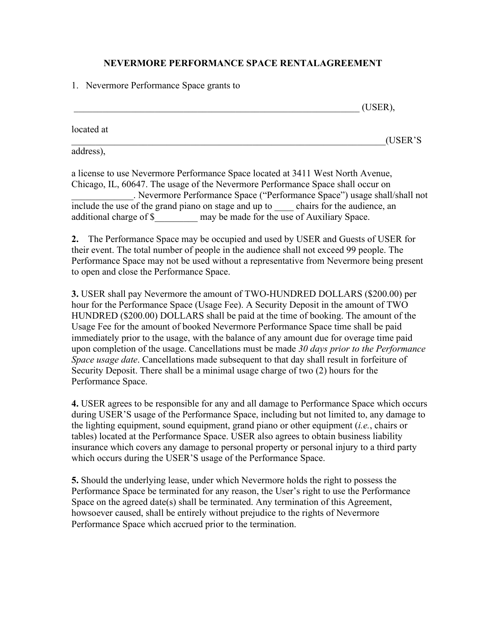## **NEVERMORE PERFORMANCE SPACE RENTALAGREEMENT**

1. Nevermore Performance Space grants to

 $(USER)$ , located at  $( \text{USER}^{\cdot} \text{S})$ 

address),

a license to use Nevermore Performance Space located at 3411 West North Avenue, Chicago, IL, 60647. The usage of the Nevermore Performance Space shall occur on \_\_\_\_\_\_\_\_\_\_\_\_\_. Nevermore Performance Space ("Performance Space") usage shall/shall not include the use of the grand piano on stage and up to chairs for the audience, an additional charge of \$ may be made for the use of Auxiliary Space.

**2.** The Performance Space may be occupied and used by USER and Guests of USER for their event. The total number of people in the audience shall not exceed 99 people. The Performance Space may not be used without a representative from Nevermore being present to open and close the Performance Space.

**3.** USER shall pay Nevermore the amount of TWO-HUNDRED DOLLARS (\$200.00) per hour for the Performance Space (Usage Fee). A Security Deposit in the amount of TWO HUNDRED (\$200.00) DOLLARS shall be paid at the time of booking. The amount of the Usage Fee for the amount of booked Nevermore Performance Space time shall be paid immediately prior to the usage, with the balance of any amount due for overage time paid upon completion of the usage. Cancellations must be made *30 days prior to the Performance Space usage date*. Cancellations made subsequent to that day shall result in forfeiture of Security Deposit. There shall be a minimal usage charge of two (2) hours for the Performance Space.

**4.** USER agrees to be responsible for any and all damage to Performance Space which occurs during USER'S usage of the Performance Space, including but not limited to, any damage to the lighting equipment, sound equipment, grand piano or other equipment (*i.e.*, chairs or tables) located at the Performance Space. USER also agrees to obtain business liability insurance which covers any damage to personal property or personal injury to a third party which occurs during the USER'S usage of the Performance Space.

**5.** Should the underlying lease, under which Nevermore holds the right to possess the Performance Space be terminated for any reason, the User's right to use the Performance Space on the agreed date(s) shall be terminated. Any termination of this Agreement, howsoever caused, shall be entirely without prejudice to the rights of Nevermore Performance Space which accrued prior to the termination.